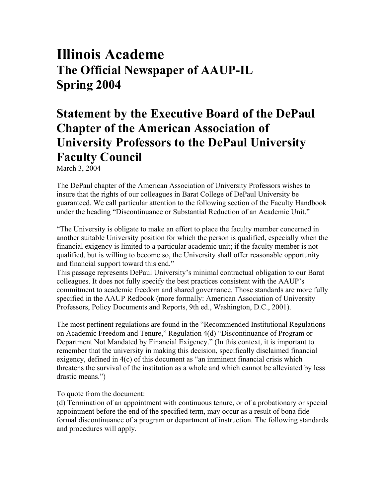## **Illinois Academe The Official Newspaper of AAUP-IL Spring 2004**

## **Statement by the Executive Board of the DePaul Chapter of the American Association of University Professors to the DePaul University Faculty Council**

March 3, 2004

The DePaul chapter of the American Association of University Professors wishes to insure that the rights of our colleagues in Barat College of DePaul University be guaranteed. We call particular attention to the following section of the Faculty Handbook under the heading "Discontinuance or Substantial Reduction of an Academic Unit."

"The University is obligate to make an effort to place the faculty member concerned in another suitable University position for which the person is qualified, especially when the financial exigency is limited to a particular academic unit; if the faculty member is not qualified, but is willing to become so, the University shall offer reasonable opportunity and financial support toward this end."

This passage represents DePaul University's minimal contractual obligation to our Barat colleagues. It does not fully specify the best practices consistent with the AAUP's commitment to academic freedom and shared governance. Those standards are more fully specified in the AAUP Redbook (more formally: American Association of University Professors, Policy Documents and Reports, 9th ed., Washington, D.C., 2001).

The most pertinent regulations are found in the "Recommended Institutional Regulations on Academic Freedom and Tenure," Regulation 4(d) "Discontinuance of Program or Department Not Mandated by Financial Exigency." (In this context, it is important to remember that the university in making this decision, specifically disclaimed financial exigency, defined in 4(c) of this document as "an imminent financial crisis which threatens the survival of the institution as a whole and which cannot be alleviated by less drastic means.")

To quote from the document:

(d) Termination of an appointment with continuous tenure, or of a probationary or special appointment before the end of the specified term, may occur as a result of bona fide formal discontinuance of a program or department of instruction. The following standards and procedures will apply.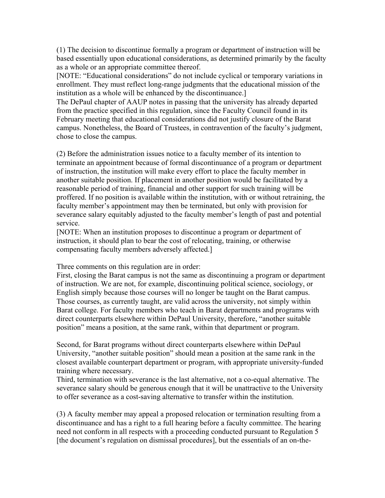(1) The decision to discontinue formally a program or department of instruction will be based essentially upon educational considerations, as determined primarily by the faculty as a whole or an appropriate committee thereof.

[NOTE: "Educational considerations" do not include cyclical or temporary variations in enrollment. They must reflect long-range judgments that the educational mission of the institution as a whole will be enhanced by the discontinuance.]

The DePaul chapter of AAUP notes in passing that the university has already departed from the practice specified in this regulation, since the Faculty Council found in its February meeting that educational considerations did not justify closure of the Barat campus. Nonetheless, the Board of Trustees, in contravention of the faculty's judgment, chose to close the campus.

(2) Before the administration issues notice to a faculty member of its intention to terminate an appointment because of formal discontinuance of a program or department of instruction, the institution will make every effort to place the faculty member in another suitable position. If placement in another position would be facilitated by a reasonable period of training, financial and other support for such training will be proffered. If no position is available within the institution, with or without retraining, the faculty member's appointment may then be terminated, but only with provision for severance salary equitably adjusted to the faculty member's length of past and potential service.

[NOTE: When an institution proposes to discontinue a program or department of instruction, it should plan to bear the cost of relocating, training, or otherwise compensating faculty members adversely affected.]

Three comments on this regulation are in order:

First, closing the Barat campus is not the same as discontinuing a program or department of instruction. We are not, for example, discontinuing political science, sociology, or English simply because those courses will no longer be taught on the Barat campus. Those courses, as currently taught, are valid across the university, not simply within Barat college. For faculty members who teach in Barat departments and programs with direct counterparts elsewhere within DePaul University, therefore, "another suitable position" means a position, at the same rank, within that department or program.

Second, for Barat programs without direct counterparts elsewhere within DePaul University, "another suitable position" should mean a position at the same rank in the closest available counterpart department or program, with appropriate university-funded training where necessary.

Third, termination with severance is the last alternative, not a co-equal alternative. The severance salary should be generous enough that it will be unattractive to the University to offer severance as a cost-saving alternative to transfer within the institution.

(3) A faculty member may appeal a proposed relocation or termination resulting from a discontinuance and has a right to a full hearing before a faculty committee. The hearing need not conform in all respects with a proceeding conducted pursuant to Regulation 5 [the document's regulation on dismissal procedures], but the essentials of an on-the